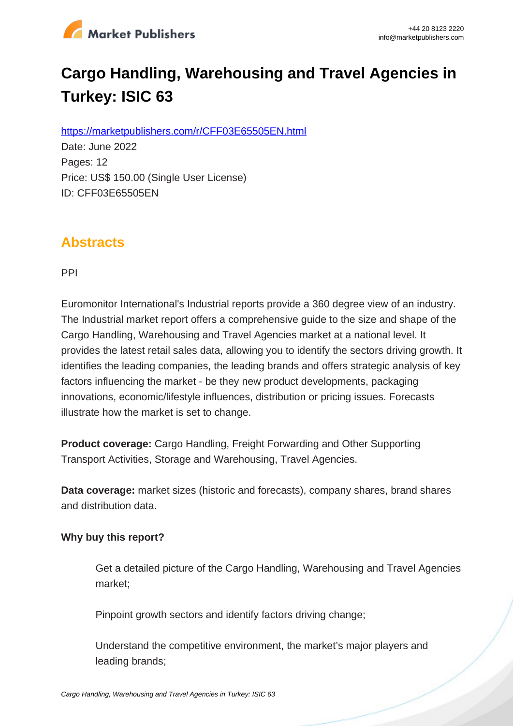

# **Cargo Handling, Warehousing and Travel Agencies in Turkey: ISIC 63**

https://marketpublishers.com/r/CFF03E65505EN.html

Date: June 2022 Pages: 12 Price: US\$ 150.00 (Single User License) ID: CFF03E65505EN

### **Abstracts**

PPI

Euromonitor International's Industrial reports provide a 360 degree view of an industry. The Industrial market report offers a comprehensive guide to the size and shape of the Cargo Handling, Warehousing and Travel Agencies market at a national level. It provides the latest retail sales data, allowing you to identify the sectors driving growth. It identifies the leading companies, the leading brands and offers strategic analysis of key factors influencing the market - be they new product developments, packaging innovations, economic/lifestyle influences, distribution or pricing issues. Forecasts illustrate how the market is set to change.

**Product coverage:** Cargo Handling, Freight Forwarding and Other Supporting Transport Activities, Storage and Warehousing, Travel Agencies.

**Data coverage:** market sizes (historic and forecasts), company shares, brand shares and distribution data.

#### **Why buy this report?**

Get a detailed picture of the Cargo Handling, Warehousing and Travel Agencies market;

Pinpoint growth sectors and identify factors driving change;

Understand the competitive environment, the market's major players and leading brands;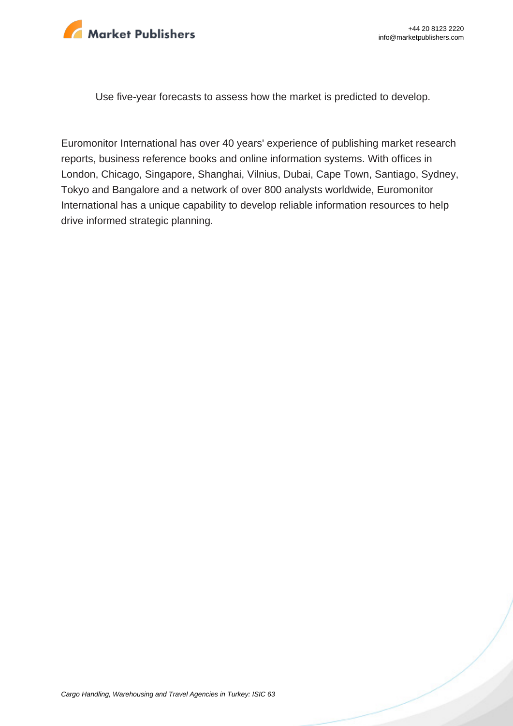

Use five-year forecasts to assess how the market is predicted to develop.

Euromonitor International has over 40 years' experience of publishing market research reports, business reference books and online information systems. With offices in London, Chicago, Singapore, Shanghai, Vilnius, Dubai, Cape Town, Santiago, Sydney, Tokyo and Bangalore and a network of over 800 analysts worldwide, Euromonitor International has a unique capability to develop reliable information resources to help drive informed strategic planning.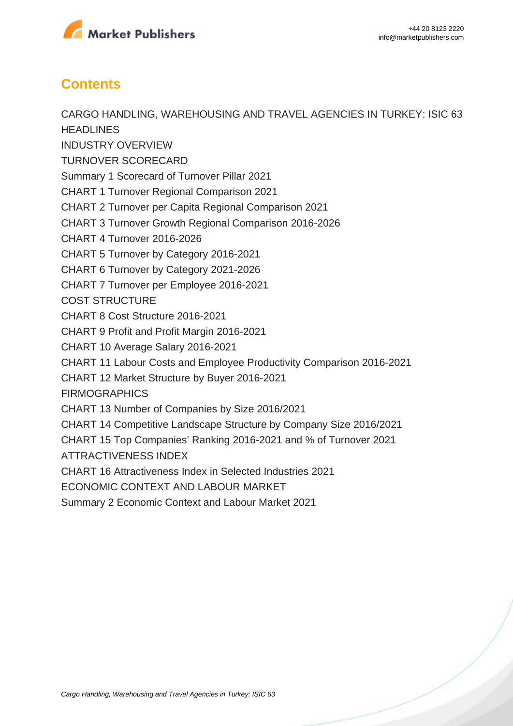

## **Contents**

CARGO HANDLING, WAREHOUSING AND TRAVEL AGENCIES IN TURKEY: ISIC 63 **HEADLINES** INDUSTRY OVERVIEW TURNOVER SCORECARD Summary 1 Scorecard of Turnover Pillar 2021 CHART 1 Turnover Regional Comparison 2021 CHART 2 Turnover per Capita Regional Comparison 2021 CHART 3 Turnover Growth Regional Comparison 2016-2026 CHART 4 Turnover 2016-2026 CHART 5 Turnover by Category 2016-2021 CHART 6 Turnover by Category 2021-2026 CHART 7 Turnover per Employee 2016-2021 COST STRUCTURE CHART 8 Cost Structure 2016-2021 CHART 9 Profit and Profit Margin 2016-2021 CHART 10 Average Salary 2016-2021 CHART 11 Labour Costs and Employee Productivity Comparison 2016-2021 CHART 12 Market Structure by Buyer 2016-2021 FIRMOGRAPHICS CHART 13 Number of Companies by Size 2016/2021 CHART 14 Competitive Landscape Structure by Company Size 2016/2021 CHART 15 Top Companies' Ranking 2016-2021 and % of Turnover 2021 ATTRACTIVENESS INDEX CHART 16 Attractiveness Index in Selected Industries 2021 ECONOMIC CONTEXT AND LABOUR MARKET Summary 2 Economic Context and Labour Market 2021